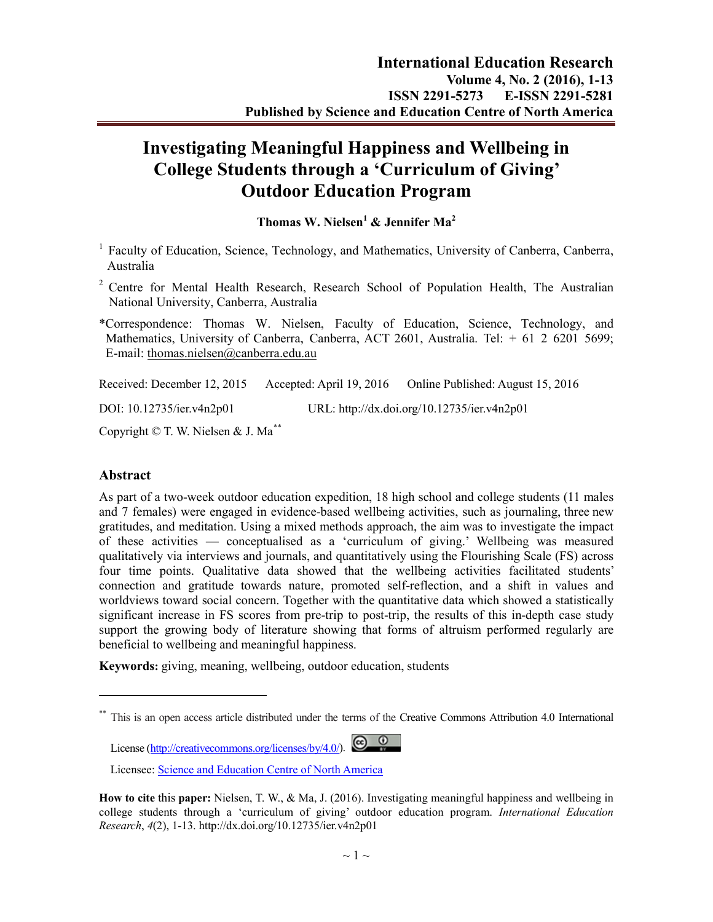# **Investigating Meaningful Happiness and Wellbeing in College Students through a 'Curriculum of Giving' Outdoor Education Program**

**Thomas W. Nielsen<sup>1</sup> & Jennifer Ma<sup>2</sup>** 

- $1$  Faculty of Education, Science, Technology, and Mathematics, University of Canberra, Canberra, Australia
- <sup>2</sup> Centre for Mental Health Research, Research School of Population Health, The Australian National University, Canberra, Australia
- \*Correspondence: Thomas W. Nielsen, Faculty of Education, Science, Technology, and Mathematics, University of Canberra, Canberra, ACT 2601, Australia. Tel: + 61 2 6201 5699; E-mail: [thomas.nielsen@canberra.edu.au](mailto:Richard.Burns@anu.edu.au)

Received: December 12, 2015 Accepted: April 19, 2016 Online Published: August 15, 2016

DOI: 10.12735/ier.v4n2p01 URL: http://dx.doi.org/10.12735/ier.v4n2p01

Copyright © T. W. Nielsen & J. Ma[\\*\\*](#page-0-0)

#### **Abstract**

-

As part of a two-week outdoor education expedition, 18 high school and college students (11 males and 7 females) were engaged in evidence-based wellbeing activities, such as journaling, three new gratitudes, and meditation. Using a mixed methods approach, the aim was to investigate the impact of these activities — conceptualised as a 'curriculum of giving.' Wellbeing was measured qualitatively via interviews and journals, and quantitatively using the Flourishing Scale (FS) across four time points. Qualitative data showed that the wellbeing activities facilitated students' connection and gratitude towards nature, promoted self-reflection, and a shift in values and worldviews toward social concern. Together with the quantitative data which showed a statistically significant increase in FS scores from pre-trip to post-trip, the results of this in-depth case study support the growing body of literature showing that forms of altruism performed regularly are beneficial to wellbeing and meaningful happiness.

**Keywords:** giving, meaning, wellbeing, outdoor education, students

License  $(\frac{http://creativecommons.org/licenses/by/4.0/">http://creativecommons.org/licenses/by/4.0/$ ). \n

<span id="page-0-0"></span>This is an open access article distributed under the terms of the Creative Commons Attribution 4.0 International

Licensee: [Science and Education Centre of North America](http://www.todayscience.org/)

**How to cite** this **paper:** Nielsen, T. W., & Ma, J. (2016). Investigating meaningful happiness and wellbeing in college students through a 'curriculum of giving' outdoor education program. *International Education Research*, *4*(2), 1-13. http://dx.doi.org/10.12735/ier.v4n2p01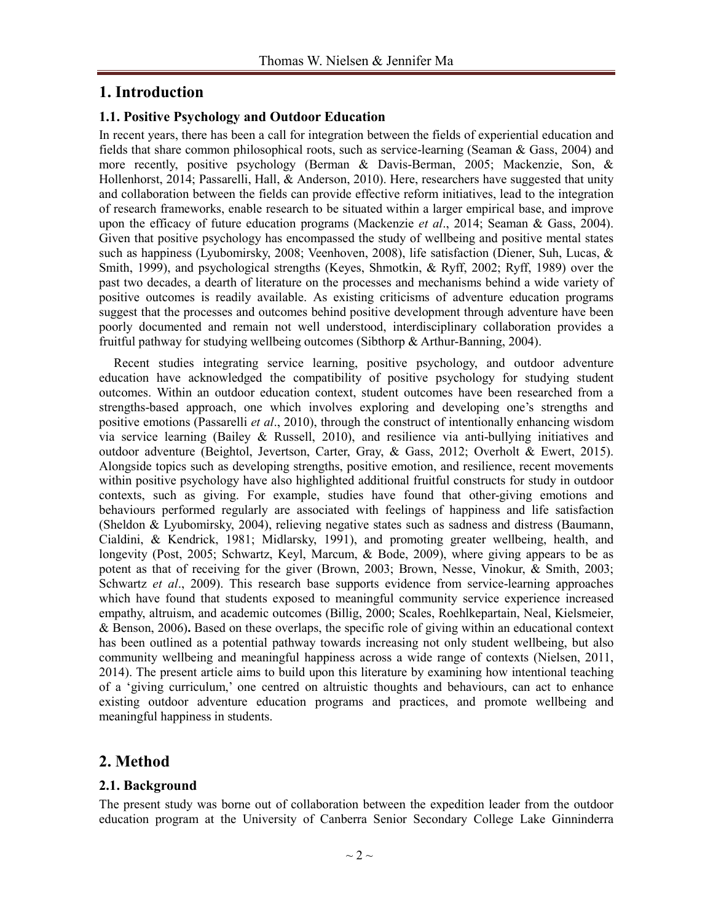## **1. Introduction**

#### **1.1. Positive Psychology and Outdoor Education**

In recent years, there has been a call for integration between the fields of experiential education and fields that share common philosophical roots, such as service-learning [\(Seaman & Gass, 2004\)](#page-11-0) and more recently, positive psychology [\(Berman & Davis-Berman, 2005;](#page-9-0) [Mackenzie, Son, &](#page-10-0)  [Hollenhorst, 2014;](#page-10-0) [Passarelli, Hall, & Anderson, 2010\)](#page-10-1). Here, researchers have suggested that unity and collaboration between the fields can provide effective reform initiatives, lead to the integration of research frameworks, enable research to be situated within a larger empirical base, and improve upon the efficacy of future education programs [\(Mackenzie](#page-10-0) *et al*., 2014; [Seaman & Gass, 2004\)](#page-11-0). Given that positive psychology has encompassed the study of wellbeing and positive mental states such as happiness [\(Lyubomirsky, 2008;](#page-10-2) [Veenhoven, 2008\)](#page-11-1), life satisfaction [\(Diener, Suh, Lucas, &](#page-9-1)  [Smith, 1999\)](#page-9-1), and psychological strengths [\(Keyes, Shmotkin, & Ryff, 2002;](#page-10-3) [Ryff, 1989\)](#page-11-2) over the past two decades, a dearth of literature on the processes and mechanisms behind a wide variety of positive outcomes is readily available. As existing criticisms of adventure education programs suggest that the processes and outcomes behind positive development through adventure have been poorly documented and remain not well understood, interdisciplinary collaboration provides a fruitful pathway for studying wellbeing outcomes [\(Sibthorp & Arthur-Banning, 2004\)](#page-11-3).

Recent studies integrating service learning, positive psychology, and outdoor adventure education have acknowledged the compatibility of positive psychology for studying student outcomes. Within an outdoor education context, student outcomes have been researched from a strengths-based approach, one which involves exploring and developing one's strengths and positive emotions [\(Passarelli](#page-10-1) *et al*., 2010), through the construct of intentionally enhancing wisdom via service learning [\(Bailey & Russell, 2010\)](#page-9-2), and resilience via anti-bullying initiatives and outdoor adventure [\(Beightol, Jevertson, Carter, Gray, & Gass, 2012;](#page-9-3) [Overholt & Ewert, 2015\)](#page-10-4). Alongside topics such as developing strengths, positive emotion, and resilience, recent movements within positive psychology have also highlighted additional fruitful constructs for study in outdoor contexts, such as giving. For example, studies have found that other-giving emotions and behaviours performed regularly are associated with feelings of happiness and life satisfaction [\(Sheldon & Lyubomirsky, 2004\)](#page-11-4), relieving negative states such as sadness and distress [\(Baumann,](#page-9-4)  [Cialdini, & Kendrick, 1981;](#page-9-4) [Midlarsky, 1991\)](#page-10-5), and promoting greater wellbeing, health, and longevity [\(Post, 2005;](#page-10-6) [Schwartz, Keyl, Marcum, & Bode, 2009\)](#page-11-5), where giving appears to be as potent as that of receiving for the giver [\(Brown, 2003;](#page-9-5) [Brown, Nesse, Vinokur, & Smith, 2003;](#page-9-6) [Schwartz](#page-11-5) *et al*., 2009). This research base supports evidence from service-learning approaches which have found that students exposed to meaningful community service experience increased empathy, altruism, and academic outcomes [\(Billig, 2000;](#page-9-7) [Scales, Roehlkepartain, Neal, Kielsmeier,](#page-11-6)  [& Benson, 2006\)](#page-11-6)**.** Based on these overlaps, the specific role of giving within an educational context has been outlined as a potential pathway towards increasing not only student wellbeing, but also community wellbeing and meaningful happiness across a wide range of contexts [\(Nielsen, 2011,](#page-10-7) [2014\)](#page-10-8). The present article aims to build upon this literature by examining how intentional teaching of a 'giving curriculum,' one centred on altruistic thoughts and behaviours, can act to enhance existing outdoor adventure education programs and practices, and promote wellbeing and meaningful happiness in students.

## **2. Method**

### **2.1. Background**

The present study was borne out of collaboration between the expedition leader from the outdoor education program at the University of Canberra Senior Secondary College Lake Ginninderra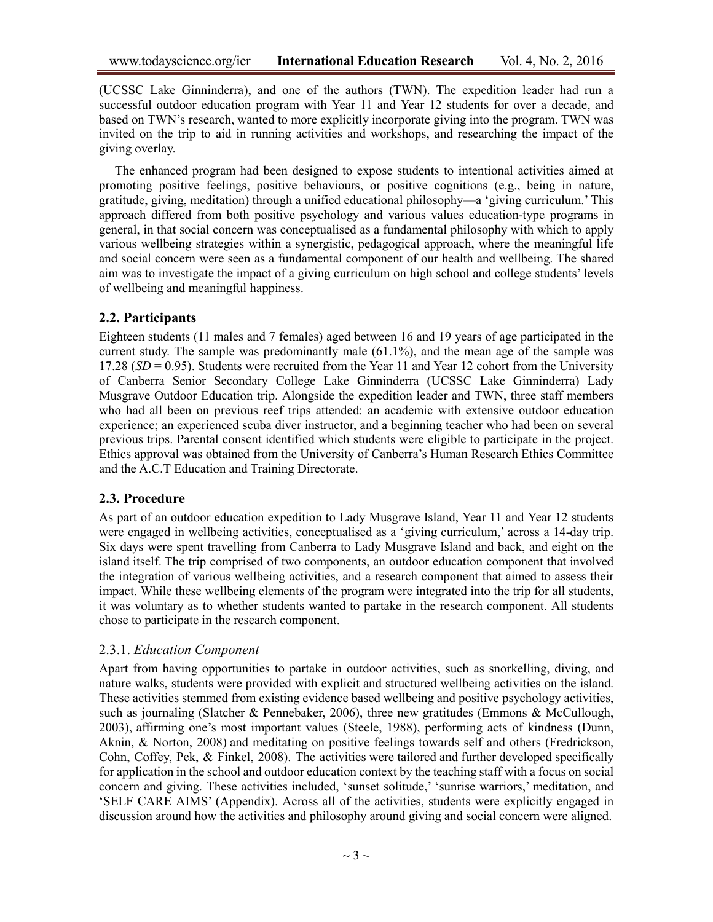(UCSSC Lake Ginninderra), and one of the authors (TWN). The expedition leader had run a successful outdoor education program with Year 11 and Year 12 students for over a decade, and based on TWN's research, wanted to more explicitly incorporate giving into the program. TWN was invited on the trip to aid in running activities and workshops, and researching the impact of the giving overlay.

The enhanced program had been designed to expose students to intentional activities aimed at promoting positive feelings, positive behaviours, or positive cognitions (e.g., being in nature, gratitude, giving, meditation) through a unified educational philosophy—a 'giving curriculum.' This approach differed from both positive psychology and various values education-type programs in general, in that social concern was conceptualised as a fundamental philosophy with which to apply various wellbeing strategies within a synergistic, pedagogical approach, where the meaningful life and social concern were seen as a fundamental component of our health and wellbeing. The shared aim was to investigate the impact of a giving curriculum on high school and college students' levels of wellbeing and meaningful happiness.

#### **2.2. Participants**

Eighteen students (11 males and 7 females) aged between 16 and 19 years of age participated in the current study. The sample was predominantly male  $(61.1\%)$ , and the mean age of the sample was 17.28 (*SD* = 0.95). Students were recruited from the Year 11 and Year 12 cohort from the University of Canberra Senior Secondary College Lake Ginninderra (UCSSC Lake Ginninderra) Lady Musgrave Outdoor Education trip. Alongside the expedition leader and TWN, three staff members who had all been on previous reef trips attended: an academic with extensive outdoor education experience; an experienced scuba diver instructor, and a beginning teacher who had been on several previous trips. Parental consent identified which students were eligible to participate in the project. Ethics approval was obtained from the University of Canberra's Human Research Ethics Committee and the A.C.T Education and Training Directorate.

#### **2.3. Procedure**

As part of an outdoor education expedition to Lady Musgrave Island, Year 11 and Year 12 students were engaged in wellbeing activities, conceptualised as a 'giving curriculum,' across a 14-day trip. Six days were spent travelling from Canberra to Lady Musgrave Island and back, and eight on the island itself. The trip comprised of two components, an outdoor education component that involved the integration of various wellbeing activities, and a research component that aimed to assess their impact. While these wellbeing elements of the program were integrated into the trip for all students, it was voluntary as to whether students wanted to partake in the research component. All students chose to participate in the research component.

#### 2.3.1. *Education Component*

Apart from having opportunities to partake in outdoor activities, such as snorkelling, diving, and nature walks, students were provided with explicit and structured wellbeing activities on the island. These activities stemmed from existing evidence based wellbeing and positive psychology activities, such as journaling [\(Slatcher & Pennebaker, 2006\)](#page-11-7), three new gratitudes [\(Emmons & McCullough,](#page-9-8)  [2003\)](#page-9-8), affirming one's most important values [\(Steele, 1988\)](#page-11-8), performing acts of kindness [\(Dunn,](#page-9-9)  [Aknin, & Norton, 2008\)](#page-9-9) and meditating on positive feelings towards self and others [\(Fredrickson,](#page-10-9)  [Cohn, Coffey, Pek, & Finkel, 2008\)](#page-10-9). The activities were tailored and further developed specifically for application in the school and outdoor education context by the teaching staff with a focus on social concern and giving. These activities included, 'sunset solitude,' 'sunrise warriors,' meditation, and 'SELF CARE AIMS' (Appendix). Across all of the activities, students were explicitly engaged in discussion around how the activities and philosophy around giving and social concern were aligned.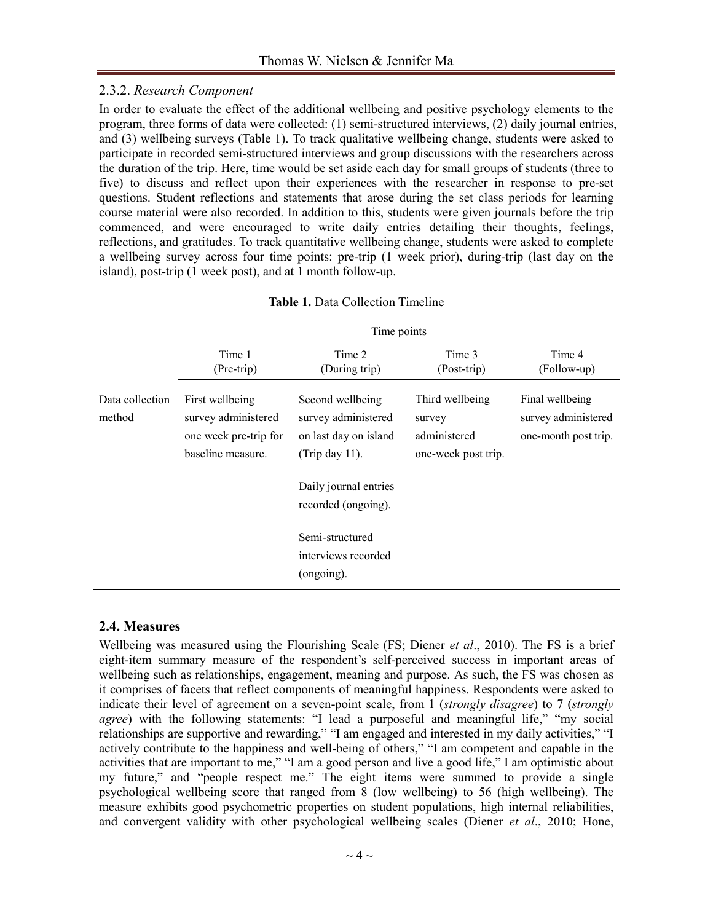### 2.3.2. *Research Component*

In order to evaluate the effect of the additional wellbeing and positive psychology elements to the program, three forms of data were collected: (1) semi-structured interviews, (2) daily journal entries, and (3) wellbeing surveys (Table 1). To track qualitative wellbeing change, students were asked to participate in recorded semi-structured interviews and group discussions with the researchers across the duration of the trip. Here, time would be set aside each day for small groups of students (three to five) to discuss and reflect upon their experiences with the researcher in response to pre-set questions. Student reflections and statements that arose during the set class periods for learning course material were also recorded. In addition to this, students were given journals before the trip commenced, and were encouraged to write daily entries detailing their thoughts, feelings, reflections, and gratitudes. To track quantitative wellbeing change, students were asked to complete a wellbeing survey across four time points: pre-trip (1 week prior), during-trip (last day on the island), post-trip (1 week post), and at 1 month follow-up.

|                           | Time points                                                                          |                                                                                       |                                                                  |                                                                |  |  |  |  |
|---------------------------|--------------------------------------------------------------------------------------|---------------------------------------------------------------------------------------|------------------------------------------------------------------|----------------------------------------------------------------|--|--|--|--|
|                           | Time 1<br>Time 2<br>Time 3<br>Time 4                                                 |                                                                                       |                                                                  |                                                                |  |  |  |  |
|                           | (Pre-trip)                                                                           | (During trip)                                                                         | (Post-trip)                                                      | (Follow-up)                                                    |  |  |  |  |
| Data collection<br>method | First wellbeing<br>survey administered<br>one week pre-trip for<br>baseline measure. | Second wellbeing<br>survey administered<br>on last day on island<br>(Trip day $11$ ). | Third wellbeing<br>survey<br>administered<br>one-week post trip. | Final wellbeing<br>survey administered<br>one-month post trip. |  |  |  |  |
|                           |                                                                                      | Daily journal entries<br>recorded (ongoing).                                          |                                                                  |                                                                |  |  |  |  |
|                           |                                                                                      | Semi-structured<br>interviews recorded<br>(ongoing).                                  |                                                                  |                                                                |  |  |  |  |

| <b>Table 1. Data Collection Timeline</b> |
|------------------------------------------|
|                                          |

### **2.4. Measures**

Wellbeing was measured using the Flourishing Scale [\(FS; Diener](#page-9-10) *et al*., 2010). The FS is a brief eight-item summary measure of the respondent's self-perceived success in important areas of wellbeing such as relationships, engagement, meaning and purpose. As such, the FS was chosen as it comprises of facets that reflect components of meaningful happiness. Respondents were asked to indicate their level of agreement on a seven-point scale, from 1 (*strongly disagree*) to 7 (*strongly agree*) with the following statements: "I lead a purposeful and meaningful life," "my social relationships are supportive and rewarding," "I am engaged and interested in my daily activities," "I actively contribute to the happiness and well-being of others," "I am competent and capable in the activities that are important to me," "I am a good person and live a good life," I am optimistic about my future," and "people respect me." The eight items were summed to provide a single psychological wellbeing score that ranged from 8 (low wellbeing) to 56 (high wellbeing). The measure exhibits good psychometric properties on student populations, high internal reliabilities, and convergent validity with other psychological wellbeing scales [\(Diener](#page-9-10) *et al*., 2010; [Hone,](#page-10-10)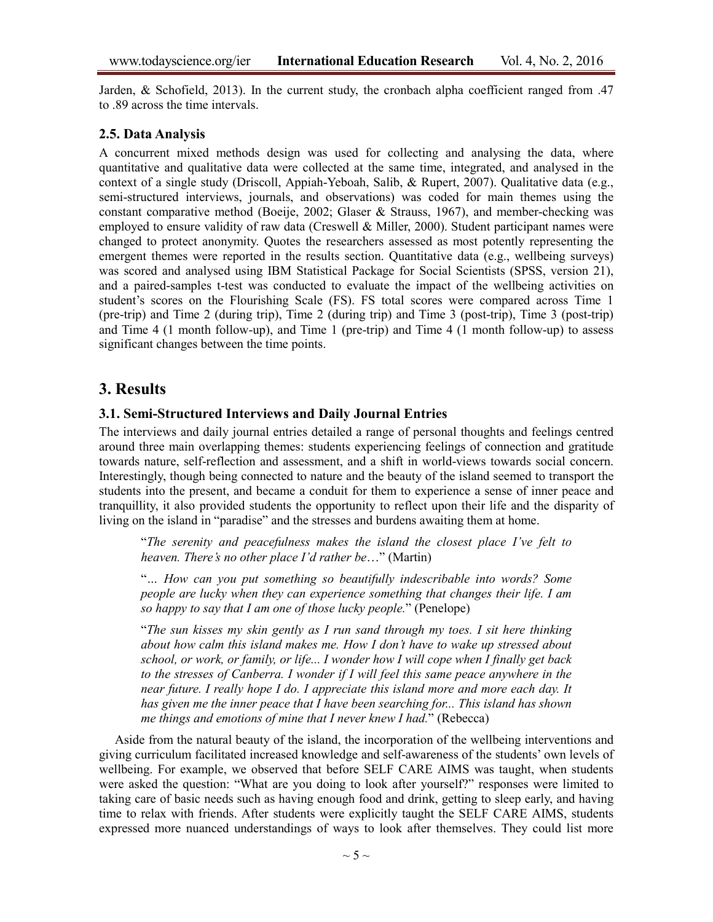[Jarden, & Schofield, 2013\)](#page-10-10). In the current study, the cronbach alpha coefficient ranged from .47 to .89 across the time intervals.

#### **2.5. Data Analysis**

A concurrent mixed methods design was used for collecting and analysing the data, where quantitative and qualitative data were collected at the same time, integrated, and analysed in the context of a single study [\(Driscoll, Appiah-Yeboah, Salib, & Rupert, 2007\)](#page-9-11). Qualitative data (e.g., semi-structured interviews, journals, and observations) was coded for main themes using the constant comparative method [\(Boeije, 2002;](#page-9-12) [Glaser & Strauss, 1967\)](#page-10-11), and member-checking was employed to ensure validity of raw data [\(Creswell & Miller, 2000\)](#page-9-13). Student participant names were changed to protect anonymity. Quotes the researchers assessed as most potently representing the emergent themes were reported in the results section. Quantitative data (e.g., wellbeing surveys) was scored and analysed using IBM Statistical Package for Social Scientists (SPSS, version 21), and a paired-samples t-test was conducted to evaluate the impact of the wellbeing activities on student's scores on the Flourishing Scale (FS). FS total scores were compared across Time 1 (pre-trip) and Time 2 (during trip), Time 2 (during trip) and Time 3 (post-trip), Time 3 (post-trip) and Time 4 (1 month follow-up), and Time 1 (pre-trip) and Time 4 (1 month follow-up) to assess significant changes between the time points.

## **3. Results**

#### **3.1. Semi-Structured Interviews and Daily Journal Entries**

The interviews and daily journal entries detailed a range of personal thoughts and feelings centred around three main overlapping themes: students experiencing feelings of connection and gratitude towards nature, self-reflection and assessment, and a shift in world-views towards social concern. Interestingly, though being connected to nature and the beauty of the island seemed to transport the students into the present, and became a conduit for them to experience a sense of inner peace and tranquillity, it also provided students the opportunity to reflect upon their life and the disparity of living on the island in "paradise" and the stresses and burdens awaiting them at home.

"*The serenity and peacefulness makes the island the closest place I've felt to heaven. There's no other place I'd rather be*…" (Martin)

"*… How can you put something so beautifully indescribable into words? Some people are lucky when they can experience something that changes their life. I am so happy to say that I am one of those lucky people.*" (Penelope)

"*The sun kisses my skin gently as I run sand through my toes. I sit here thinking about how calm this island makes me. How I don't have to wake up stressed about school, or work, or family, or life... I wonder how I will cope when I finally get back to the stresses of Canberra. I wonder if I will feel this same peace anywhere in the near future. I really hope I do. I appreciate this island more and more each day. It has given me the inner peace that I have been searching for... This island has shown me things and emotions of mine that I never knew I had.*" (Rebecca)

Aside from the natural beauty of the island, the incorporation of the wellbeing interventions and giving curriculum facilitated increased knowledge and self-awareness of the students' own levels of wellbeing. For example, we observed that before SELF CARE AIMS was taught, when students were asked the question: "What are you doing to look after yourself?" responses were limited to taking care of basic needs such as having enough food and drink, getting to sleep early, and having time to relax with friends. After students were explicitly taught the SELF CARE AIMS, students expressed more nuanced understandings of ways to look after themselves. They could list more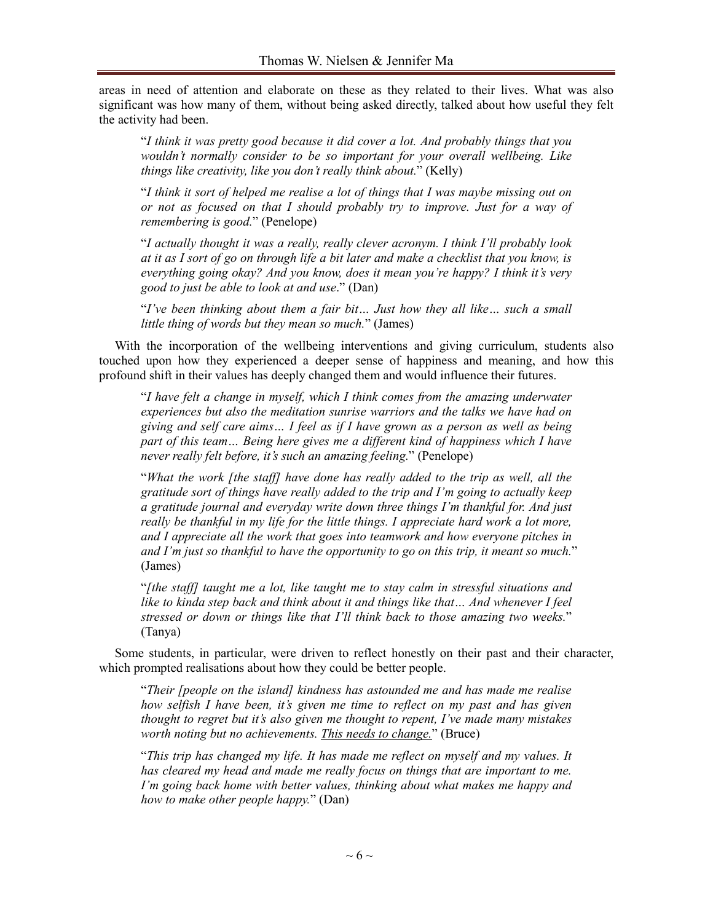areas in need of attention and elaborate on these as they related to their lives. What was also significant was how many of them, without being asked directly, talked about how useful they felt the activity had been.

"*I think it was pretty good because it did cover a lot. And probably things that you wouldn't normally consider to be so important for your overall wellbeing. Like things like creativity, like you don't really think about.*" (Kelly)

"*I think it sort of helped me realise a lot of things that I was maybe missing out on or not as focused on that I should probably try to improve. Just for a way of remembering is good.*" (Penelope)

"*I actually thought it was a really, really clever acronym. I think I'll probably look at it as I sort of go on through life a bit later and make a checklist that you know, is everything going okay? And you know, does it mean you're happy? I think it's very good to just be able to look at and use*." (Dan)

"*I've been thinking about them a fair bit… Just how they all like… such a small little thing of words but they mean so much.*" (James)

With the incorporation of the wellbeing interventions and giving curriculum, students also touched upon how they experienced a deeper sense of happiness and meaning, and how this profound shift in their values has deeply changed them and would influence their futures.

"*I have felt a change in myself, which I think comes from the amazing underwater experiences but also the meditation sunrise warriors and the talks we have had on giving and self care aims… I feel as if I have grown as a person as well as being part of this team… Being here gives me a different kind of happiness which I have never really felt before, it's such an amazing feeling.*" (Penelope)

"*What the work [the staff] have done has really added to the trip as well, all the gratitude sort of things have really added to the trip and I'm going to actually keep a gratitude journal and everyday write down three things I'm thankful for. And just really be thankful in my life for the little things. I appreciate hard work a lot more, and I appreciate all the work that goes into teamwork and how everyone pitches in and I'm just so thankful to have the opportunity to go on this trip, it meant so much.*" (James)

"*[the staff] taught me a lot, like taught me to stay calm in stressful situations and like to kinda step back and think about it and things like that… And whenever I feel stressed or down or things like that I'll think back to those amazing two weeks.*" (Tanya)

Some students, in particular, were driven to reflect honestly on their past and their character, which prompted realisations about how they could be better people.

"*Their [people on the island] kindness has astounded me and has made me realise how selfish I have been, it's given me time to reflect on my past and has given thought to regret but it's also given me thought to repent, I've made many mistakes worth noting but no achievements. This needs to change.*" (Bruce)

"*This trip has changed my life. It has made me reflect on myself and my values. It has cleared my head and made me really focus on things that are important to me. I'm going back home with better values, thinking about what makes me happy and how to make other people happy.*" (Dan)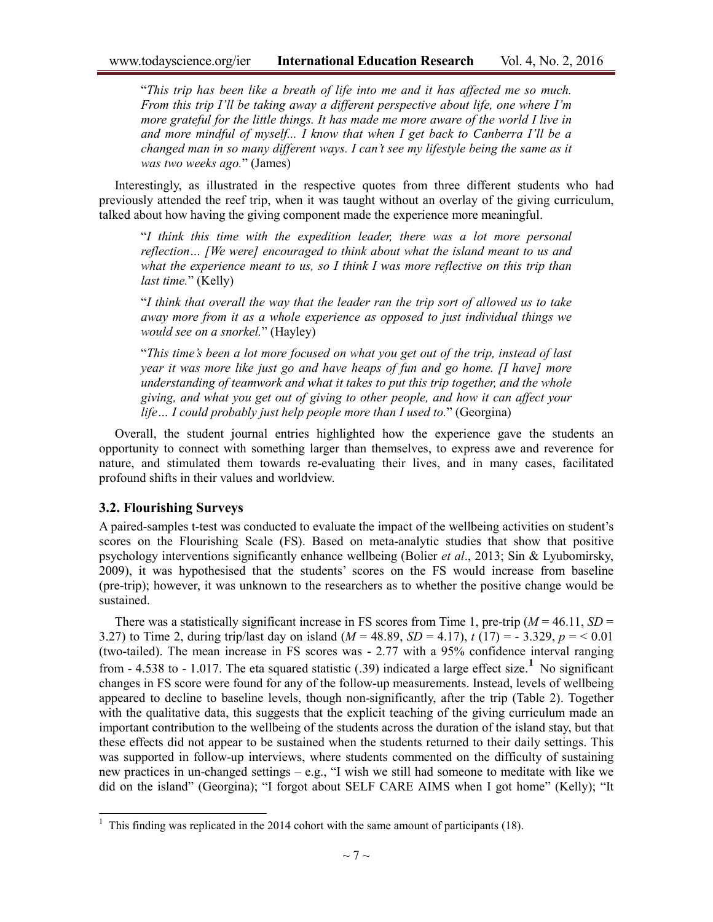"*This trip has been like a breath of life into me and it has affected me so much. From this trip I'll be taking away a different perspective about life, one where I'm more grateful for the little things. It has made me more aware of the world I live in and more mindful of myself... I know that when I get back to Canberra I'll be a changed man in so many different ways. I can't see my lifestyle being the same as it was two weeks ago.*" (James)

Interestingly, as illustrated in the respective quotes from three different students who had previously attended the reef trip, when it was taught without an overlay of the giving curriculum, talked about how having the giving component made the experience more meaningful.

"*I think this time with the expedition leader, there was a lot more personal reflection… [We were] encouraged to think about what the island meant to us and what the experience meant to us, so I think I was more reflective on this trip than last time.*" (Kelly)

"*I think that overall the way that the leader ran the trip sort of allowed us to take away more from it as a whole experience as opposed to just individual things we would see on a snorkel.*" (Hayley)

"*This time's been a lot more focused on what you get out of the trip, instead of last year it was more like just go and have heaps of fun and go home. [I have] more understanding of teamwork and what it takes to put this trip together, and the whole giving, and what you get out of giving to other people, and how it can affect your life… I could probably just help people more than I used to.*" (Georgina)

Overall, the student journal entries highlighted how the experience gave the students an opportunity to connect with something larger than themselves, to express awe and reverence for nature, and stimulated them towards re-evaluating their lives, and in many cases, facilitated profound shifts in their values and worldview.

#### **3.2. Flourishing Surveys**

A paired-samples t-test was conducted to evaluate the impact of the wellbeing activities on student's scores on the Flourishing Scale (FS). Based on meta-analytic studies that show that positive psychology interventions significantly enhance wellbeing (Bolier *et al*[., 2013;](#page-9-14) [Sin & Lyubomirsky,](#page-11-9)  [2009\)](#page-11-9), it was hypothesised that the students' scores on the FS would increase from baseline (pre-trip); however, it was unknown to the researchers as to whether the positive change would be sustained.

There was a statistically significant increase in FS scores from Time 1, pre-trip  $(M = 46.11, SD =$ 3.27) to Time 2, during trip/last day on island  $(M = 48.89, SD = 4.17)$ ,  $t(17) = -3.329, p = 6.01$ (two-tailed). The mean increase in FS scores was - 2.77 with a 95% confidence interval ranging from - 4.538 to - 1.017. The eta squared statistic (.39) indicated a large effect size.**[1](#page-6-0)** No significant changes in FS score were found for any of the follow-up measurements. Instead, levels of wellbeing appeared to decline to baseline levels, though non-significantly, after the trip (Table 2). Together with the qualitative data, this suggests that the explicit teaching of the giving curriculum made an important contribution to the wellbeing of the students across the duration of the island stay, but that these effects did not appear to be sustained when the students returned to their daily settings. This was supported in follow-up interviews, where students commented on the difficulty of sustaining new practices in un-changed settings – e.g., "I wish we still had someone to meditate with like we did on the island" (Georgina); "I forgot about SELF CARE AIMS when I got home" (Kelly); "It

<span id="page-6-0"></span><sup>&</sup>lt;sup>1</sup> This finding was replicated in the 2014 cohort with the same amount of participants (18).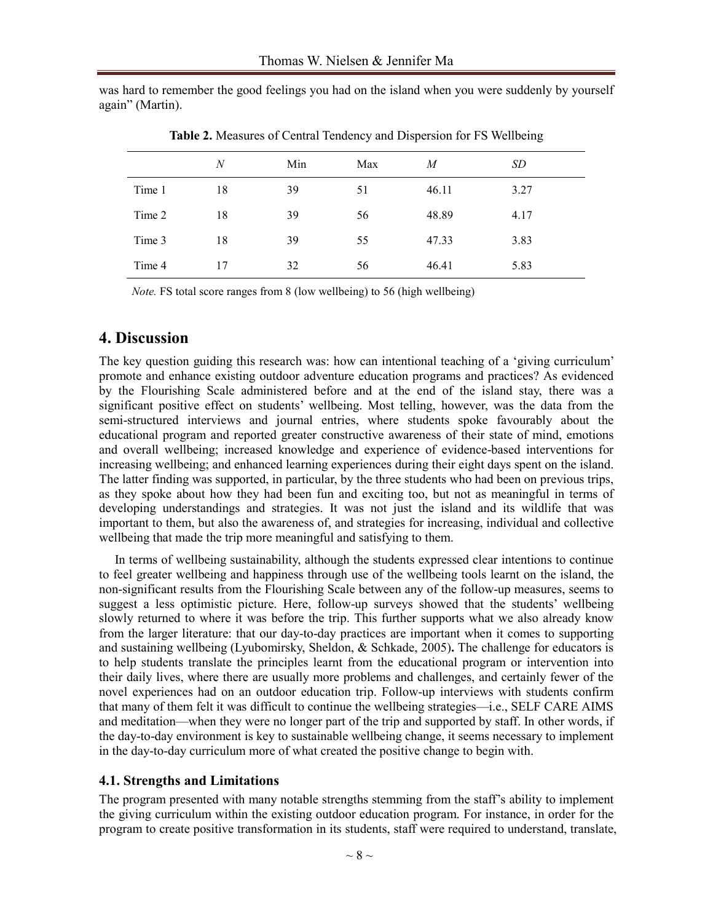was hard to remember the good feelings you had on the island when you were suddenly by yourself again" (Martin).

|        | $\boldsymbol{N}$ | Min | Max | M     | <i>SD</i> |
|--------|------------------|-----|-----|-------|-----------|
| Time 1 | 18               | 39  | 51  | 46.11 | 3.27      |
| Time 2 | 18               | 39  | 56  | 48.89 | 4.17      |
| Time 3 | 18               | 39  | 55  | 47.33 | 3.83      |
| Time 4 | 17               | 32  | 56  | 46.41 | 5.83      |

**Table 2.** Measures of Central Tendency and Dispersion for FS Wellbeing

*Note.* FS total score ranges from 8 (low wellbeing) to 56 (high wellbeing)

#### **4. Discussion**

The key question guiding this research was: how can intentional teaching of a 'giving curriculum' promote and enhance existing outdoor adventure education programs and practices? As evidenced by the Flourishing Scale administered before and at the end of the island stay, there was a significant positive effect on students' wellbeing. Most telling, however, was the data from the semi-structured interviews and journal entries, where students spoke favourably about the educational program and reported greater constructive awareness of their state of mind, emotions and overall wellbeing; increased knowledge and experience of evidence-based interventions for increasing wellbeing; and enhanced learning experiences during their eight days spent on the island. The latter finding was supported, in particular, by the three students who had been on previous trips, as they spoke about how they had been fun and exciting too, but not as meaningful in terms of developing understandings and strategies. It was not just the island and its wildlife that was important to them, but also the awareness of, and strategies for increasing, individual and collective wellbeing that made the trip more meaningful and satisfying to them.

In terms of wellbeing sustainability, although the students expressed clear intentions to continue to feel greater wellbeing and happiness through use of the wellbeing tools learnt on the island, the non-significant results from the Flourishing Scale between any of the follow-up measures, seems to suggest a less optimistic picture. Here, follow-up surveys showed that the students' wellbeing slowly returned to where it was before the trip. This further supports what we also already know from the larger literature: that our day-to-day practices are important when it comes to supporting and sustaining wellbeing [\(Lyubomirsky, Sheldon, & Schkade, 2005\)](#page-10-12)**.** The challenge for educators is to help students translate the principles learnt from the educational program or intervention into their daily lives, where there are usually more problems and challenges, and certainly fewer of the novel experiences had on an outdoor education trip. Follow-up interviews with students confirm that many of them felt it was difficult to continue the wellbeing strategies—i.e., SELF CARE AIMS and meditation—when they were no longer part of the trip and supported by staff. In other words, if the day-to-day environment is key to sustainable wellbeing change, it seems necessary to implement in the day-to-day curriculum more of what created the positive change to begin with.

#### **4.1. Strengths and Limitations**

The program presented with many notable strengths stemming from the staff's ability to implement the giving curriculum within the existing outdoor education program. For instance, in order for the program to create positive transformation in its students, staff were required to understand, translate,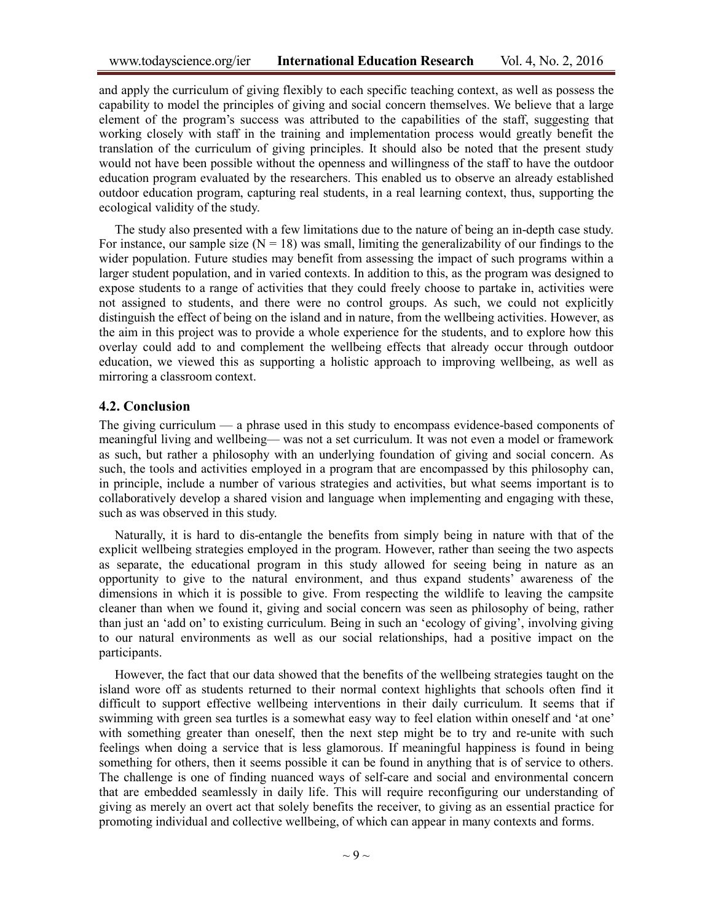and apply the curriculum of giving flexibly to each specific teaching context, as well as possess the capability to model the principles of giving and social concern themselves. We believe that a large element of the program's success was attributed to the capabilities of the staff, suggesting that working closely with staff in the training and implementation process would greatly benefit the translation of the curriculum of giving principles. It should also be noted that the present study would not have been possible without the openness and willingness of the staff to have the outdoor education program evaluated by the researchers. This enabled us to observe an already established outdoor education program, capturing real students, in a real learning context, thus, supporting the ecological validity of the study.

The study also presented with a few limitations due to the nature of being an in-depth case study. For instance, our sample size  $(N = 18)$  was small, limiting the generalizability of our findings to the wider population. Future studies may benefit from assessing the impact of such programs within a larger student population, and in varied contexts. In addition to this, as the program was designed to expose students to a range of activities that they could freely choose to partake in, activities were not assigned to students, and there were no control groups. As such, we could not explicitly distinguish the effect of being on the island and in nature, from the wellbeing activities. However, as the aim in this project was to provide a whole experience for the students, and to explore how this overlay could add to and complement the wellbeing effects that already occur through outdoor education, we viewed this as supporting a holistic approach to improving wellbeing, as well as mirroring a classroom context.

#### **4.2. Conclusion**

The giving curriculum — a phrase used in this study to encompass evidence-based components of meaningful living and wellbeing— was not a set curriculum. It was not even a model or framework as such, but rather a philosophy with an underlying foundation of giving and social concern. As such, the tools and activities employed in a program that are encompassed by this philosophy can, in principle, include a number of various strategies and activities, but what seems important is to collaboratively develop a shared vision and language when implementing and engaging with these, such as was observed in this study.

Naturally, it is hard to dis-entangle the benefits from simply being in nature with that of the explicit wellbeing strategies employed in the program. However, rather than seeing the two aspects as separate, the educational program in this study allowed for seeing being in nature as an opportunity to give to the natural environment, and thus expand students' awareness of the dimensions in which it is possible to give. From respecting the wildlife to leaving the campsite cleaner than when we found it, giving and social concern was seen as philosophy of being, rather than just an 'add on' to existing curriculum. Being in such an 'ecology of giving', involving giving to our natural environments as well as our social relationships, had a positive impact on the participants.

However, the fact that our data showed that the benefits of the wellbeing strategies taught on the island wore off as students returned to their normal context highlights that schools often find it difficult to support effective wellbeing interventions in their daily curriculum. It seems that if swimming with green sea turtles is a somewhat easy way to feel elation within oneself and 'at one' with something greater than oneself, then the next step might be to try and re-unite with such feelings when doing a service that is less glamorous. If meaningful happiness is found in being something for others, then it seems possible it can be found in anything that is of service to others. The challenge is one of finding nuanced ways of self-care and social and environmental concern that are embedded seamlessly in daily life. This will require reconfiguring our understanding of giving as merely an overt act that solely benefits the receiver, to giving as an essential practice for promoting individual and collective wellbeing, of which can appear in many contexts and forms.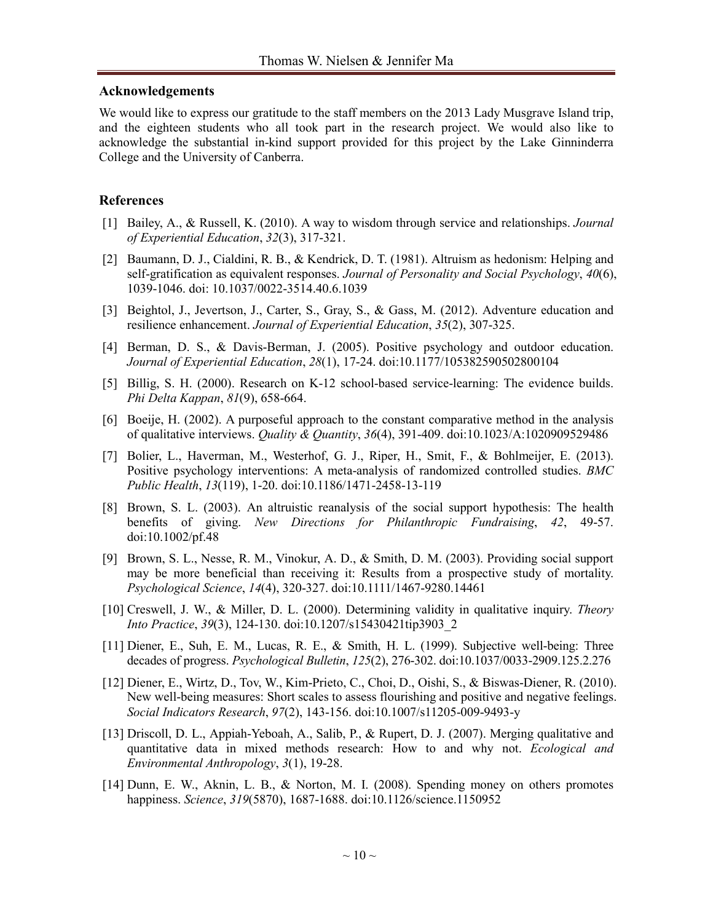#### **Acknowledgements**

We would like to express our gratitude to the staff members on the 2013 Lady Musgrave Island trip, and the eighteen students who all took part in the research project. We would also like to acknowledge the substantial in-kind support provided for this project by the Lake Ginninderra College and the University of Canberra.

#### **References**

- <span id="page-9-2"></span>[1] Bailey, A., & Russell, K. (2010). A way to wisdom through service and relationships. *Journal of Experiential Education*, *32*(3), 317-321.
- <span id="page-9-4"></span>[2] Baumann, D. J., Cialdini, R. B., & Kendrick, D. T. (1981). Altruism as hedonism: Helping and self-gratification as equivalent responses. *Journal of Personality and Social Psychology*, *40*(6), 1039-1046. doi: 10.1037/0022-3514.40.6.1039
- <span id="page-9-3"></span><span id="page-9-0"></span>[3] Beightol, J., Jevertson, J., Carter, S., Gray, S., & Gass, M. (2012). Adventure education and resilience enhancement. *Journal of Experiential Education*, *35*(2), 307-325.
- <span id="page-9-7"></span>[4] Berman, D. S., & Davis-Berman, J. (2005). Positive psychology and outdoor education. *Journal of Experiential Education*, *28*(1), 17-24. doi:10.1177/105382590502800104
- <span id="page-9-12"></span>[5] Billig, S. H. (2000). Research on K-12 school-based service-learning: The evidence builds. *Phi Delta Kappan*, *81*(9), 658-664.
- <span id="page-9-14"></span>[6] Boeije, H. (2002). A purposeful approach to the constant comparative method in the analysis of qualitative interviews. *Quality & Quantity*, *36*(4), 391-409. doi:10.1023/A:1020909529486
- [7] Bolier, L., Haverman, M., Westerhof, G. J., Riper, H., Smit, F., & Bohlmeijer, E. (2013). Positive psychology interventions: A meta-analysis of randomized controlled studies. *BMC Public Health*, *13*(119), 1-20. doi:10.1186/1471-2458-13-119
- <span id="page-9-5"></span>[8] Brown, S. L. (2003). An altruistic reanalysis of the social support hypothesis: The health benefits of giving. *New Directions for Philanthropic Fundraising*, *42*, 49-57. doi:10.1002/pf.48
- <span id="page-9-13"></span><span id="page-9-6"></span>[9] Brown, S. L., Nesse, R. M., Vinokur, A. D., & Smith, D. M. (2003). Providing social support may be more beneficial than receiving it: Results from a prospective study of mortality. *Psychological Science*, *14*(4), 320-327. doi:10.1111/1467-9280.14461
- [10] Creswell, J. W., & Miller, D. L. (2000). Determining validity in qualitative inquiry. *Theory Into Practice*, *39*(3), 124-130. doi:10.1207/s15430421tip3903\_2
- <span id="page-9-10"></span><span id="page-9-1"></span>[11] Diener, E., Suh, E. M., Lucas, R. E., & Smith, H. L. (1999). Subjective well-being: Three decades of progress. *Psychological Bulletin*, *125*(2), 276-302. doi:10.1037/0033-2909.125.2.276
- [12] Diener, E., Wirtz, D., Tov, W., Kim-Prieto, C., Choi, D., Oishi, S., & Biswas-Diener, R. (2010). New well-being measures: Short scales to assess flourishing and positive and negative feelings. *Social Indicators Research*, *97*(2), 143-156. doi:10.1007/s11205-009-9493-y
- <span id="page-9-11"></span><span id="page-9-9"></span>[13] Driscoll, D. L., Appiah-Yeboah, A., Salib, P., & Rupert, D. J. (2007). Merging qualitative and quantitative data in mixed methods research: How to and why not. *Ecological and Environmental Anthropology*, *3*(1), 19-28.
- <span id="page-9-8"></span>[14] Dunn, E. W., Aknin, L. B., & Norton, M. I. (2008). Spending money on others promotes happiness. *Science*, *319*(5870), 1687-1688. doi:10.1126/science.1150952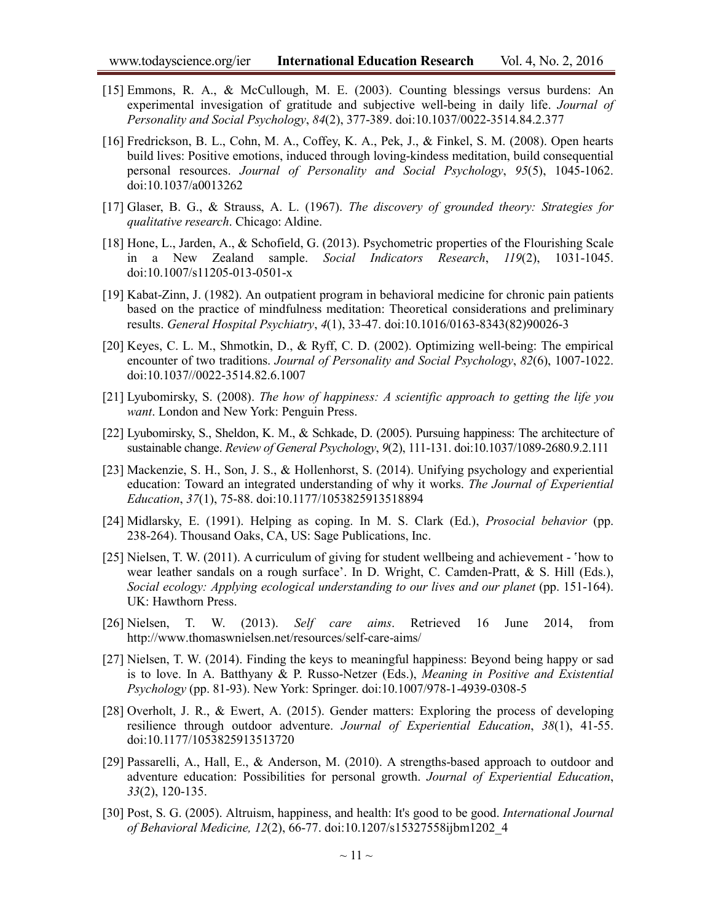- [15] Emmons, R. A., & McCullough, M. E. (2003). Counting blessings versus burdens: An experimental invesigation of gratitude and subjective well-being in daily life. *Journal of Personality and Social Psychology*, *84*(2), 377-389. doi:10.1037/0022-3514.84.2.377
- <span id="page-10-9"></span>[16] Fredrickson, B. L., Cohn, M. A., Coffey, K. A., Pek, J., & Finkel, S. M. (2008). Open hearts build lives: Positive emotions, induced through loving-kindess meditation, build consequential personal resources. *Journal of Personality and Social Psychology*, *95*(5), 1045-1062. doi:10.1037/a0013262
- <span id="page-10-11"></span><span id="page-10-10"></span>[17] Glaser, B. G., & Strauss, A. L. (1967). *The discovery of grounded theory: Strategies for qualitative research*. Chicago: Aldine.
- [18] Hone, L., Jarden, A., & Schofield, G. (2013). Psychometric properties of the Flourishing Scale in a New Zealand sample. *Social Indicators Research*, *119*(2), 1031-1045. doi:10.1007/s11205-013-0501-x
- <span id="page-10-13"></span>[19] Kabat-Zinn, J. (1982). An outpatient program in behavioral medicine for chronic pain patients based on the practice of mindfulness meditation: Theoretical considerations and preliminary results. *General Hospital Psychiatry*, *4*(1), 33-47. doi:10.1016/0163-8343(82)90026-3
- <span id="page-10-3"></span><span id="page-10-2"></span>[20] Keyes, C. L. M., Shmotkin, D., & Ryff, C. D. (2002). Optimizing well-being: The empirical encounter of two traditions. *Journal of Personality and Social Psychology*, *82*(6), 1007-1022. doi:10.1037//0022-3514.82.6.1007
- <span id="page-10-12"></span>[21] Lyubomirsky, S. (2008). *The how of happiness: A scientific approach to getting the life you want*. London and New York: Penguin Press.
- [22] Lyubomirsky, S., Sheldon, K. M., & Schkade, D. (2005). Pursuing happiness: The architecture of sustainable change. *Review of General Psychology*, *9*(2), 111-131. doi:10.1037/1089-2680.9.2.111
- <span id="page-10-0"></span>[23] Mackenzie, S. H., Son, J. S., & Hollenhorst, S. (2014). Unifying psychology and experiential education: Toward an integrated understanding of why it works. *The Journal of Experiential Education*, *37*(1), 75-88. doi:10.1177/1053825913518894
- <span id="page-10-7"></span><span id="page-10-5"></span>[24] Midlarsky, E. (1991). Helping as coping. In M. S. Clark (Ed.), *Prosocial behavior* (pp. 238-264). Thousand Oaks, CA, US: Sage Publications, Inc.
- [25] Nielsen, T. W. (2011). A curriculum of giving for student wellbeing and achievement 'how to wear leather sandals on a rough surface'. In D. Wright, C. Camden-Pratt, & S. Hill (Eds.), *Social ecology: Applying ecological understanding to our lives and our planet* (pp. 151-164). UK: Hawthorn Press.
- <span id="page-10-14"></span><span id="page-10-8"></span>[26] Nielsen, T. W. (2013). *Self care aims*. Retrieved 16 June 2014, from http://www.thomaswnielsen.net/resources/self-care-aims/
- [27] Nielsen, T. W. (2014). Finding the keys to meaningful happiness: Beyond being happy or sad is to love. In A. Batthyany & P. Russo-Netzer (Eds.), *Meaning in Positive and Existential Psychology* (pp. 81-93). New York: Springer. doi:10.1007/978-1-4939-0308-5
- <span id="page-10-4"></span>[28] Overholt, J. R., & Ewert, A. (2015). Gender matters: Exploring the process of developing resilience through outdoor adventure. *Journal of Experiential Education*, *38*(1), 41-55. doi:10.1177/1053825913513720
- <span id="page-10-1"></span>[29] Passarelli, A., Hall, E., & Anderson, M. (2010). A strengths-based approach to outdoor and adventure education: Possibilities for personal growth. *Journal of Experiential Education*, *33*(2), 120-135.
- <span id="page-10-15"></span><span id="page-10-6"></span>[30] Post, S. G. (2005). Altruism, happiness, and health: It's good to be good. *International Journal of Behavioral Medicine, 12*(2), 66-77. doi:10.1207/s15327558ijbm1202\_4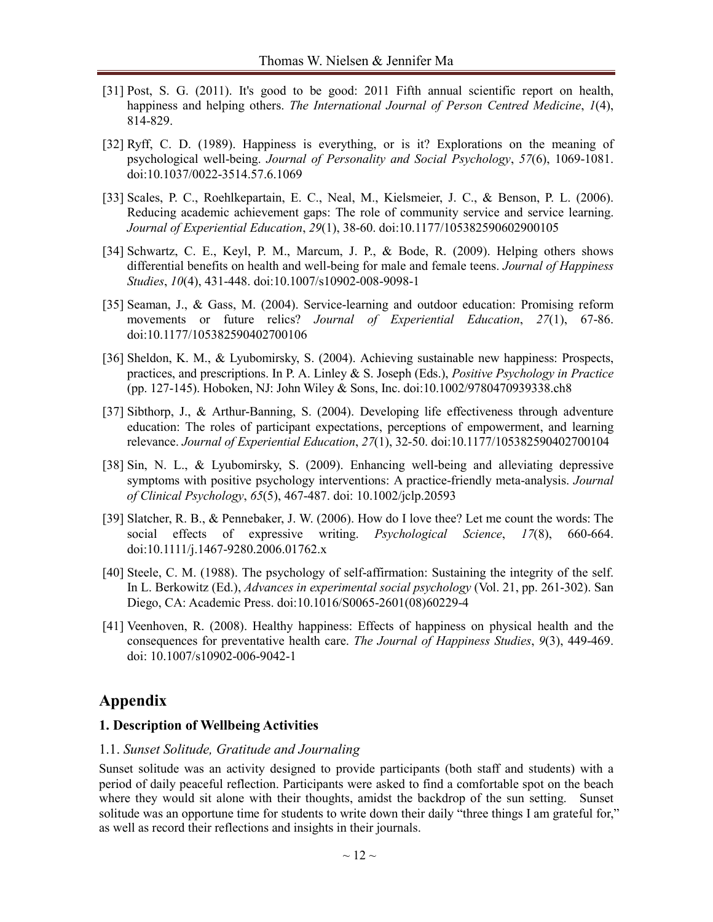- [31] Post, S. G. (2011). It's good to be good: 2011 Fifth annual scientific report on health, happiness and helping others. *The International Journal of Person Centred Medicine*, *1*(4), 814-829.
- <span id="page-11-2"></span>[32] Ryff, C. D. (1989). Happiness is everything, or is it? Explorations on the meaning of psychological well-being. *Journal of Personality and Social Psychology*, *57*(6), 1069-1081. doi:10.1037/0022-3514.57.6.1069
- <span id="page-11-6"></span>[33] Scales, P. C., Roehlkepartain, E. C., Neal, M., Kielsmeier, J. C., & Benson, P. L. (2006). Reducing academic achievement gaps: The role of community service and service learning. *Journal of Experiential Education*, *29*(1), 38-60. doi:10.1177/105382590602900105
- <span id="page-11-5"></span>[34] Schwartz, C. E., Keyl, P. M., Marcum, J. P., & Bode, R. (2009). Helping others shows differential benefits on health and well-being for male and female teens. *Journal of Happiness Studies*, *10*(4), 431-448. doi:10.1007/s10902-008-9098-1
- <span id="page-11-0"></span>[35] Seaman, J., & Gass, M. (2004). Service-learning and outdoor education: Promising reform movements or future relics? *Journal of Experiential Education*, *27*(1), 67-86. doi:10.1177/105382590402700106
- <span id="page-11-4"></span>[36] Sheldon, K. M., & Lyubomirsky, S. (2004). Achieving sustainable new happiness: Prospects, practices, and prescriptions. In P. A. Linley & S. Joseph (Eds.), *Positive Psychology in Practice* (pp. 127-145). Hoboken, NJ: John Wiley & Sons, Inc. doi:10.1002/9780470939338.ch8
- <span id="page-11-3"></span>[37] Sibthorp, J., & Arthur-Banning, S. (2004). Developing life effectiveness through adventure education: The roles of participant expectations, perceptions of empowerment, and learning relevance. *Journal of Experiential Education*, *27*(1), 32-50. doi:10.1177/105382590402700104
- <span id="page-11-9"></span>[38] Sin, N. L., & Lyubomirsky, S. (2009). Enhancing well-being and alleviating depressive symptoms with positive psychology interventions: A practice-friendly meta-analysis. *Journal of Clinical Psychology*, *65*(5), 467-487. doi: 10.1002/jclp.20593
- <span id="page-11-8"></span><span id="page-11-7"></span>[39] Slatcher, R. B., & Pennebaker, J. W. (2006). How do I love thee? Let me count the words: The social effects of expressive writing. *Psychological Science*, *17*(8), 660-664. doi:10.1111/j.1467-9280.2006.01762.x
- [40] Steele, C. M. (1988). The psychology of self-affirmation: Sustaining the integrity of the self. In L. Berkowitz (Ed.), *Advances in experimental social psychology* (Vol. 21, pp. 261-302). San Diego, CA: Academic Press. doi:10.1016/S0065-2601(08)60229-4
- <span id="page-11-1"></span>[41] Veenhoven, R. (2008). Healthy happiness: Effects of happiness on physical health and the consequences for preventative health care. *The Journal of Happiness Studies*, *9*(3), 449-469. doi: 10.1007/s10902-006-9042-1

## **Appendix**

#### **1. Description of Wellbeing Activities**

#### 1.1. *Sunset Solitude, Gratitude and Journaling*

Sunset solitude was an activity designed to provide participants (both staff and students) with a period of daily peaceful reflection. Participants were asked to find a comfortable spot on the beach where they would sit alone with their thoughts, amidst the backdrop of the sun setting. Sunset solitude was an opportune time for students to write down their daily "three things I am grateful for," as well as record their reflections and insights in their journals.